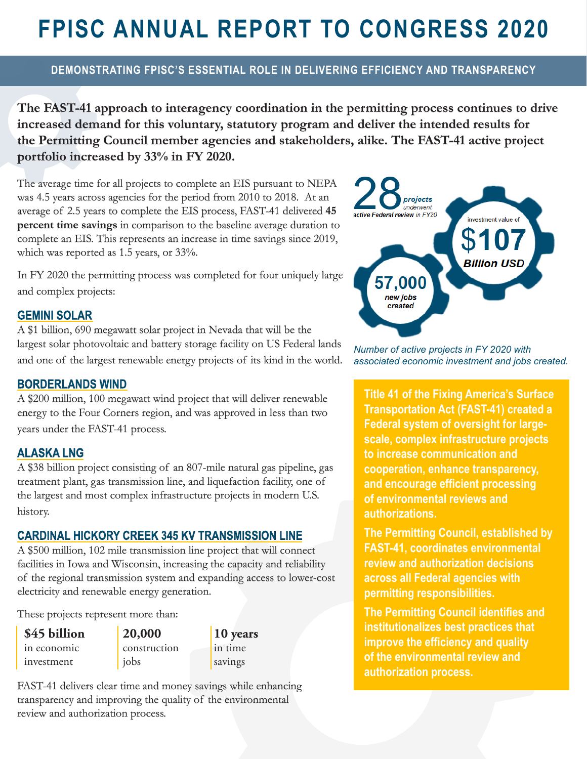# **FPISC ANNUAL REPORT TO CONGRESS 2020**

## **DEMONSTRATING FPISC'S ESSENTIAL ROLE IN DELIVERING EFFICIENCY AND TRANSPARENCY**

**The FAST-41 approach to interagency coordination in the permitting process continues to drive increased demand for this voluntary, statutory program and deliver the intended results for the Permitting Council member agencies and stakeholders, alike. The FAST-41 active project portfolio increased by 33% in FY 2020.**

The average time for all projects to complete an EIS pursuant to NEPA was 4.5 years across agencies for the period from 2010 to 2018. At an average of 2.5 years to complete the EIS process, FAST-41 delivered **45 percent time savings** in comparison to the baseline average duration to complete an EIS. This represents an increase in time savings since 2019, which was reported as 1.5 years, or 33%.

In FY 2020 the permitting process was completed for four uniquely large and complex projects:

#### **GEMINI SOLAR**

A \$1 billion, 690 megawatt solar project in Nevada that will be the largest solar photovoltaic and battery storage facility on US Federal lands and one of the largest renewable energy projects of its kind in the world.

#### **BORDERLANDS WIND**

A \$200 million, 100 megawatt wind project that will deliver renewable energy to the Four Corners region, and was approved in less than two years under the FAST-41 process.

#### **ALASKA LNG**

A \$38 billion project consisting of an 807-mile natural gas pipeline, gas treatment plant, gas transmission line, and liquefaction facility, one of the largest and most complex infrastructure projects in modern U.S. history.

#### **CARDINAL HICKORY CREEK 345 KV TRANSMISSION LINE**

A \$500 million, 102 mile transmission line project that will connect facilities in Iowa and Wisconsin, increasing the capacity and reliability of the regional transmission system and expanding access to lower-cost electricity and renewable energy generation.

These projects represent more than:

**\$45 billion**  in economic investment

**20,000** construction jobs

**10 years**  in time savings

FAST-41 delivers clear time and money savings while enhancing transparency and improving the quality of the environmental review and authorization process.



*Number of active projects in FY 2020 with associated economic investment and jobs created.*

**Title 41 of the Fixing America's Surface Transportation Act (FAST-41) created a Federal system of oversight for largescale, complex infrastructure projects to increase communication and cooperation, enhance transparency, and encourage efficient processing of environmental reviews and authorizations.** 

**The Permitting Council, established by FAST-41, coordinates environmental review and authorization decisions across all Federal agencies with permitting responsibilities.** 

**The Permitting Council identifies and institutionalizes best practices that improve the efficiency and quality of the environmental review and authorization process.**